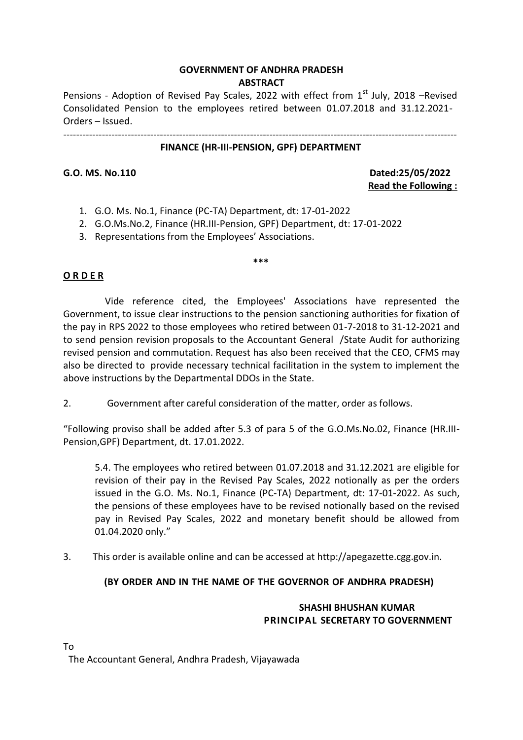# **GOVERNMENT OF ANDHRA PRADESH ABSTRACT**

Pensions - Adoption of Revised Pay Scales, 2022 with effect from  $1<sup>st</sup>$  July, 2018 –Revised Consolidated Pension to the employees retired between 01.07.2018 and 31.12.2021- Orders – Issued.

--------------------------------------------------------------------------------------------------------------------------

#### **FINANCE (HR-III-PENSION, GPF) DEPARTMENT**

**G.O. MS. No.110 Dated:25/05/2022 Read the Following :**

- 1. G.O. Ms. No.1, Finance (PC-TA) Department, dt: 17-01-2022
- 2. G.O.Ms.No.2, Finance (HR.III-Pension, GPF) Department, dt: 17-01-2022
- 3. Representations from the Employees' Associations.

## **O R D E R**

Vide reference cited, the Employees' Associations have represented the Government, to issue clear instructions to the pension sanctioning authorities for fixation of the pay in RPS 2022 to those employees who retired between 01-7-2018 to 31-12-2021 and to send pension revision proposals to the Accountant General /State Audit for authorizing revised pension and commutation. Request has also been received that the CEO, CFMS may also be directed to provide necessary technical facilitation in the system to implement the above instructions by the Departmental DDOs in the State.

**\*\*\***

2. Government after careful consideration of the matter, order as follows.

"Following proviso shall be added after 5.3 of para 5 of the G.O.Ms.No.02, Finance (HR.III-Pension,GPF) Department, dt. 17.01.2022.

5.4. The employees who retired between 01.07.2018 and 31.12.2021 are eligible for revision of their pay in the Revised Pay Scales, 2022 notionally as per the orders issued in the G.O. Ms. No.1, Finance (PC-TA) Department, dt: 17-01-2022. As such, the pensions of these employees have to be revised notionally based on the revised pay in Revised Pay Scales, 2022 and monetary benefit should be allowed from 01.04.2020 only."

3. This order is available online and can be accessed at http://apegazette.cgg.gov.in.

## **(BY ORDER AND IN THE NAME OF THE GOVERNOR OF ANDHRA PRADESH)**

## **SHASHI BHUSHAN KUMAR PRINCIPAL SECRETARY TO GOVERNMENT**

The Accountant General, Andhra Pradesh, Vijayawada